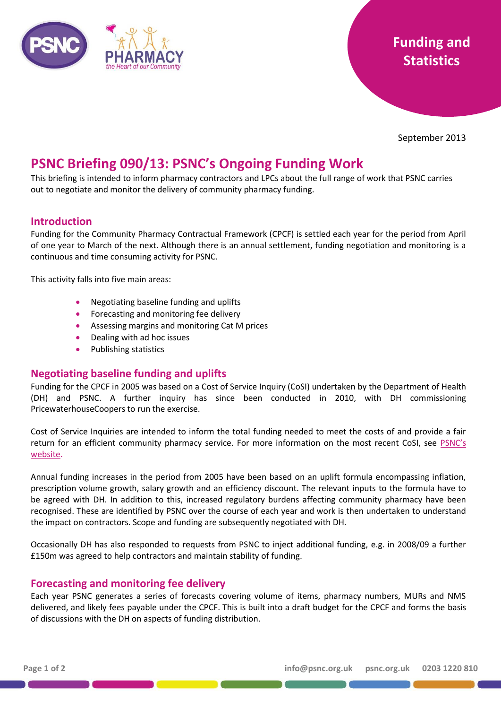

September 2013

# **PSNC Briefing 090/13: PSNC's Ongoing Funding Work**

This briefing is intended to inform pharmacy contractors and LPCs about the full range of work that PSNC carries out to negotiate and monitor the delivery of community pharmacy funding.

### **Introduction**

Funding for the Community Pharmacy Contractual Framework (CPCF) is settled each year for the period from April of one year to March of the next. Although there is an annual settlement, funding negotiation and monitoring is a continuous and time consuming activity for PSNC.

This activity falls into five main areas:

- Negotiating baseline funding and uplifts
- **•** Forecasting and monitoring fee delivery
- Assessing margins and monitoring Cat M prices
- Dealing with ad hoc issues
- Publishing statistics

### **Negotiating baseline funding and uplifts**

Funding for the CPCF in 2005 was based on a Cost of Service Inquiry (CoSI) undertaken by the Department of Health (DH) and PSNC. A further inquiry has since been conducted in 2010, with DH commissioning PricewaterhouseCoopers to run the exercise.

Cost of Service Inquiries are intended to inform the total funding needed to meet the costs of and provide a fair return for an efficient community pharmacy service. For more information on the most recent CoSI, see [PSNC's](http://psnc.org.uk/funding-and-statistics/cost-of-service-inquiry/)  [website.](http://psnc.org.uk/funding-and-statistics/cost-of-service-inquiry/)

Annual funding increases in the period from 2005 have been based on an uplift formula encompassing inflation, prescription volume growth, salary growth and an efficiency discount. The relevant inputs to the formula have to be agreed with DH. In addition to this, increased regulatory burdens affecting community pharmacy have been recognised. These are identified by PSNC over the course of each year and work is then undertaken to understand the impact on contractors. Scope and funding are subsequently negotiated with DH.

Occasionally DH has also responded to requests from PSNC to inject additional funding, e.g. in 2008/09 a further £150m was agreed to help contractors and maintain stability of funding.

## **Forecasting and monitoring fee delivery**

Each year PSNC generates a series of forecasts covering volume of items, pharmacy numbers, MURs and NMS delivered, and likely fees payable under the CPCF. This is built into a draft budget for the CPCF and forms the basis of discussions with the DH on aspects of funding distribution.